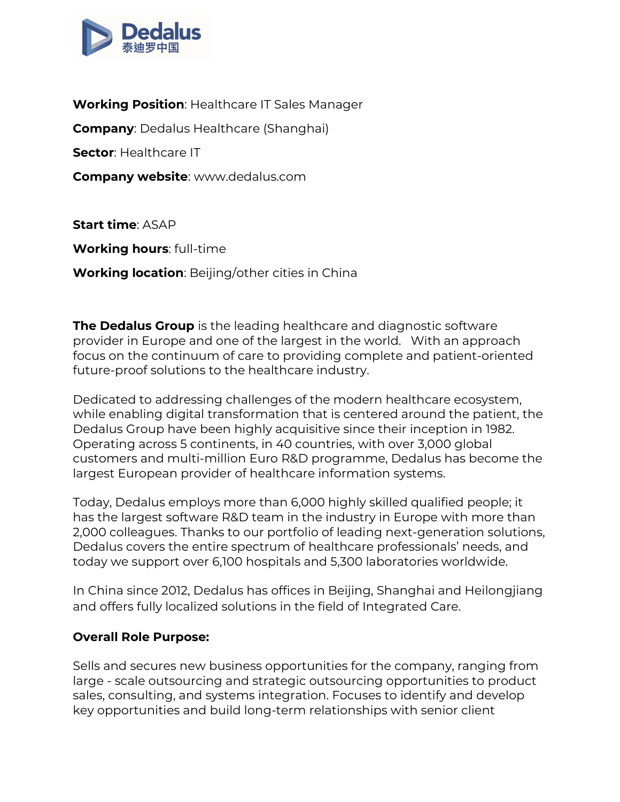

Working Position: Healthcare IT Sales Manager

**Company:** Dedalus Healthcare (Shanghai)

Sector: Healthcare IT

Company website: www.dedalus.com

Start time: ASAP

Working hours: full-time

Working location: Beijing/other cities in China

**The Dedalus Group** is the leading healthcare and diagnostic software provider in Europe and one of the largest in the world. With an approach focus on the continuum of care to providing complete and patient-oriented future-proof solutions to the healthcare industry.

Dedicated to addressing challenges of the modern healthcare ecosystem, while enabling digital transformation that is centered around the patient, the Dedalus Group have been highly acquisitive since their inception in 1982. Operating across 5 continents, in 40 countries, with over 3,000 global customers and multi-million Euro R&D programme, Dedalus has become the largest European provider of healthcare information systems.

Today, Dedalus employs more than 6,000 highly skilled qualified people; it has the largest software R&D team in the industry in Europe with more than 2,000 colleagues. Thanks to our portfolio of leading next-generation solutions, Dedalus covers the entire spectrum of healthcare professionals' needs, and today we support over 6,100 hospitals and 5,300 laboratories worldwide.

In China since 2012, Dedalus has offices in Beijing, Shanghai and Heilongjiang and offers fully localized solutions in the field of Integrated Care.

### Overall Role Purpose:

Sells and secures new business opportunities for the company, ranging from large - scale outsourcing and strategic outsourcing opportunities to product sales, consulting, and systems integration. Focuses to identify and develop key opportunities and build long-term relationships with senior client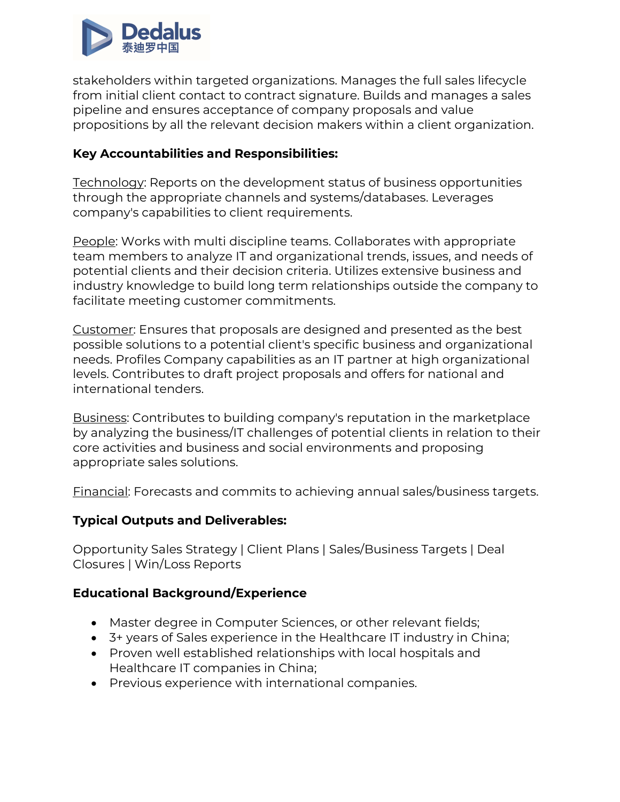

stakeholders within targeted organizations. Manages the full sales lifecycle from initial client contact to contract signature. Builds and manages a sales pipeline and ensures acceptance of company proposals and value propositions by all the relevant decision makers within a client organization.

### Key Accountabilities and Responsibilities:

Technology: Reports on the development status of business opportunities through the appropriate channels and systems/databases. Leverages company's capabilities to client requirements.

People: Works with multi discipline teams. Collaborates with appropriate team members to analyze IT and organizational trends, issues, and needs of potential clients and their decision criteria. Utilizes extensive business and industry knowledge to build long term relationships outside the company to facilitate meeting customer commitments.

Customer: Ensures that proposals are designed and presented as the best possible solutions to a potential client's specific business and organizational needs. Profiles Company capabilities as an IT partner at high organizational levels. Contributes to draft project proposals and offers for national and international tenders.

Business: Contributes to building company's reputation in the marketplace by analyzing the business/IT challenges of potential clients in relation to their core activities and business and social environments and proposing appropriate sales solutions.

Financial: Forecasts and commits to achieving annual sales/business targets.

# Typical Outputs and Deliverables:

Opportunity Sales Strategy | Client Plans | Sales/Business Targets | Deal Closures | Win/Loss Reports

# Educational Background/Experience

- Master degree in Computer Sciences, or other relevant fields;
- 3+ years of Sales experience in the Healthcare IT industry in China;
- Proven well established relationships with local hospitals and Healthcare IT companies in China;
- Previous experience with international companies.